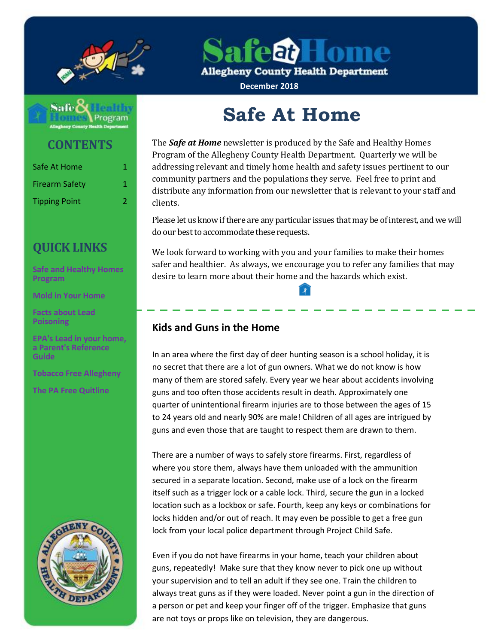

**feat Home** 

**Allegheny County Health Department** 

**December 2018**



**CONTENTS**

| Safe At Home          | 1. |
|-----------------------|----|
| <b>Firearm Safety</b> | 1. |
| <b>Tipping Point</b>  | 2. |

# **QUICK LINKS**

**[Safe and Healthy Homes](http://www.alleghenycounty.us/Health-Department/Programs/Housing-and-Community-Environment/Safe-and-Healthy-Homes/Safe-and-Healthy-Homes-Program.aspx)  [Program](http://www.alleghenycounty.us/Health-Department/Programs/Housing-and-Community-Environment/Safe-and-Healthy-Homes/Safe-and-Healthy-Homes-Program.aspx)**

**[Mold in Your Home](http://www.alleghenycounty.us/uploadedFiles/Allegheny_Home/Health_Department/Programs/Housing_and_Community_Environment/mold.pdf)**

**[Facts about Lead](http://www.alleghenycounty.us/uploadedFiles/Allegheny_Home/Health_Department/Programs/Special_Initiatives/Lead/FactsAboutLeadPoisoning.pdf)  [Poisoning](http://www.alleghenycounty.us/uploadedFiles/Allegheny_Home/Health_Department/Programs/Special_Initiatives/Lead/FactsAboutLeadPoisoning.pdf)**

**[EPA's Lead in](http://www.alleghenycounty.us/uploadedFiles/Allegheny_Home/Health_Department/Programs/Special_Initiatives/Lead/epa_lead_in_your_home(1).pdf) your home, [a Parent's Reference](http://www.alleghenycounty.us/uploadedFiles/Allegheny_Home/Health_Department/Programs/Special_Initiatives/Lead/epa_lead_in_your_home(1).pdf)  [Guide](http://www.alleghenycounty.us/uploadedFiles/Allegheny_Home/Health_Department/Programs/Special_Initiatives/Lead/epa_lead_in_your_home(1).pdf)**

**[Tobacco Free Allegheny](http://www.tobaccofreeallegheny.org/)**

**[The PA Free Quitline](https://pa.quitlogix.org/)**



# **Safe At Home**

The *Safe at Home* newsletter is produced by the Safe and Healthy Homes Program of the Allegheny County Health Department. Quarterly we will be addressing relevant and timely home health and safety issues pertinent to our community partners and the populations they serve. Feel free to print and distribute any information from our newsletter that is relevant to your staff and clients.

Please let us know if there are any particular issues that may be of interest, and we will do our best to accommodate these requests.

We look forward to working with you and your families to make their homes safer and healthier. As always, we encourage you to refer any families that may desire to learn more about their home and the hazards which exist.

## **Kids and Guns in the Home**

In an area where the first day of deer hunting season is a school holiday, it is no secret that there are a lot of gun owners. What we do not know is how many of them are stored safely. Every year we hear about accidents involving guns and too often those accidents result in death. Approximately one quarter of unintentional firearm injuries are to those between the ages of 15 to 24 years old and nearly 90% are male! Children of all ages are intrigued by guns and even those that are taught to respect them are drawn to them.

There are a number of ways to safely store firearms. First, regardless of where you store them, always have them unloaded with the ammunition secured in a separate location. Second, make use of a lock on the firearm itself such as a trigger lock or a cable lock. Third, secure the gun in a locked location such as a lockbox or safe. Fourth, keep any keys or combinations for locks hidden and/or out of reach. It may even be possible to get a free gun lock from your local police department through Project Child Safe.

Even if you do not have firearms in your home, teach your children about guns, repeatedly! Make sure that they know never to pick one up without your supervision and to tell an adult if they see one. Train the children to always treat guns as if they were loaded. Never point a gun in the direction of a person or pet and keep your finger off of the trigger. Emphasize that guns are not toys or props like on television, they are dangerous.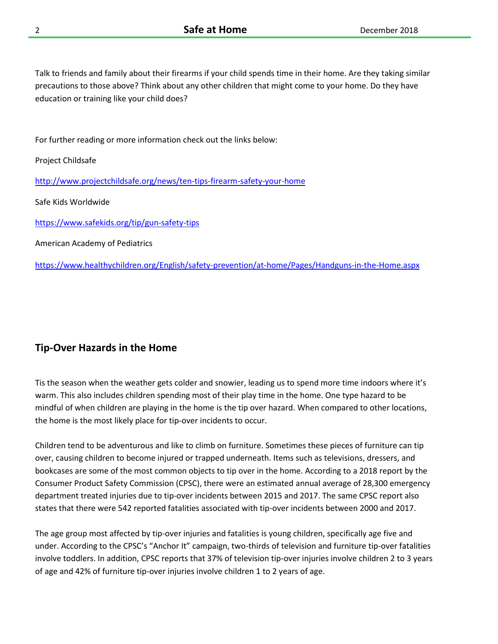Talk to friends and family about their firearms if your child spends time in their home. Are they taking similar precautions to those above? Think about any other children that might come to your home. Do they have education or training like your child does?

For further reading or more information check out the links below:

Project Childsafe

<http://www.projectchildsafe.org/news/ten-tips-firearm-safety-your-home>

Safe Kids Worldwide

<https://www.safekids.org/tip/gun-safety-tips>

American Academy of Pediatrics

<https://www.healthychildren.org/English/safety-prevention/at-home/Pages/Handguns-in-the-Home.aspx>

#### **Tip-Over Hazards in the Home**

Tis the season when the weather gets colder and snowier, leading us to spend more time indoors where it's warm. This also includes children spending most of their play time in the home. One type hazard to be mindful of when children are playing in the home is the tip over hazard. When compared to other locations, the home is the most likely place for tip-over incidents to occur.

Children tend to be adventurous and like to climb on furniture. Sometimes these pieces of furniture can tip over, causing children to become injured or trapped underneath. Items such as televisions, dressers, and bookcases are some of the most common objects to tip over in the home. According to a 2018 report by the Consumer Product Safety Commission (CPSC), there were an estimated annual average of 28,300 emergency department treated injuries due to tip-over incidents between 2015 and 2017. The same CPSC report also states that there were 542 reported fatalities associated with tip-over incidents between 2000 and 2017.

The age group most affected by tip-over injuries and fatalities is young children, specifically age five and under. According to the CPSC's "Anchor It" campaign, two-thirds of television and furniture tip-over fatalities involve toddlers. In addition, CPSC reports that 37% of television tip-over injuries involve children 2 to 3 years of age and 42% of furniture tip-over injuries involve children 1 to 2 years of age.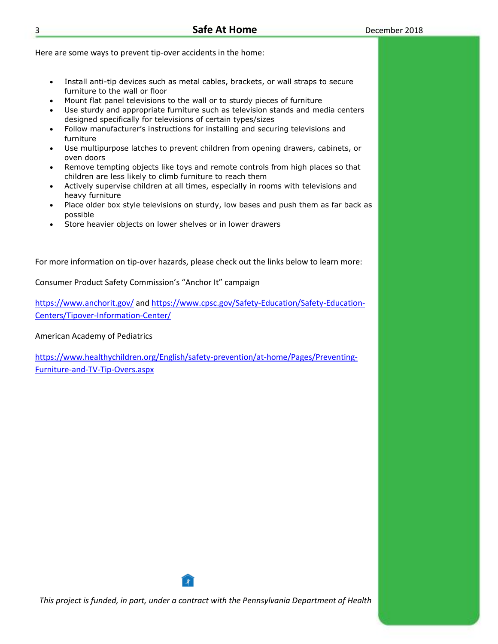Here are some ways to prevent tip-over accidents in the home:

- Install anti-tip devices such as metal cables, brackets, or wall straps to secure furniture to the wall or floor
- Mount flat panel televisions to the wall or to sturdy pieces of furniture
- Use sturdy and appropriate furniture such as television stands and media centers designed specifically for televisions of certain types/sizes
- Follow manufacturer's instructions for installing and securing televisions and furniture
- Use multipurpose latches to prevent children from opening drawers, cabinets, or oven doors
- Remove tempting objects like toys and remote controls from high places so that children are less likely to climb furniture to reach them
- Actively supervise children at all times, especially in rooms with televisions and heavy furniture
- Place older box style televisions on sturdy, low bases and push them as far back as possible
- Store heavier objects on lower shelves or in lower drawers

For more information on tip-over hazards, please check out the links below to learn more:

Consumer Product Safety Commission's "Anchor It" campaign

<https://www.anchorit.gov/> and [https://www.cpsc.gov/Safety-Education/Safety-Education-](https://www.cpsc.gov/Safety-Education/Safety-Education-Centers/Tipover-Information-Center/)[Centers/Tipover-Information-Center/](https://www.cpsc.gov/Safety-Education/Safety-Education-Centers/Tipover-Information-Center/)

American Academy of Pediatrics

[https://www.healthychildren.org/English/safety-prevention/at-home/Pages/Preventing-](https://www.healthychildren.org/English/safety-prevention/at-home/Pages/Preventing-Furniture-and-TV-Tip-Overs.aspx)[Furniture-and-TV-Tip-Overs.aspx](https://www.healthychildren.org/English/safety-prevention/at-home/Pages/Preventing-Furniture-and-TV-Tip-Overs.aspx)